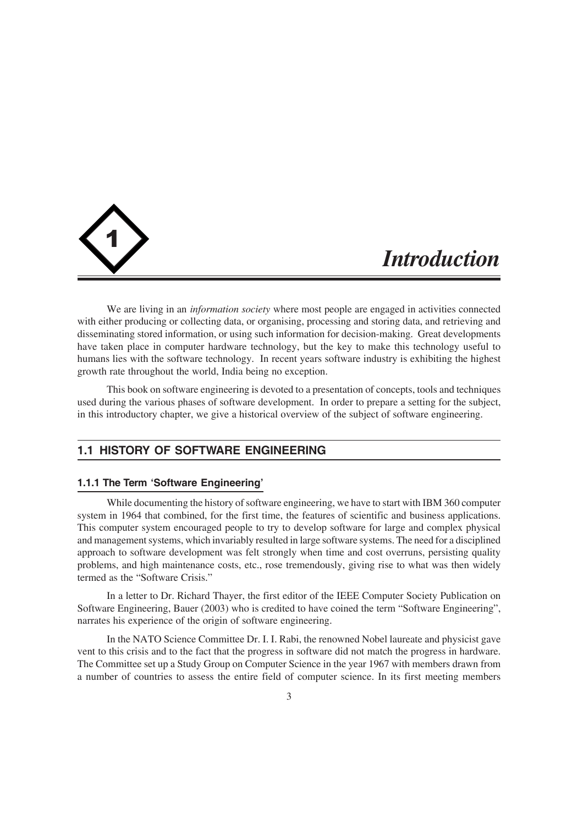

# *Introduction*

We are living in an *information society* where most people are engaged in activities connected with either producing or collecting data, or organising, processing and storing data, and retrieving and disseminating stored information, or using such information for decision-making. Great developments have taken place in computer hardware technology, but the key to make this technology useful to humans lies with the software technology. In recent years software industry is exhibiting the highest growth rate throughout the world, India being no exception.

This book on software engineering is devoted to a presentation of concepts, tools and techniques used during the various phases of software development. In order to prepare a setting for the subject, in this introductory chapter, we give a historical overview of the subject of software engineering.

# **1.1 HISTORY OF SOFTWARE ENGINEERING**

## **1.1.1 The Term 'Software Engineering'**

While documenting the history of software engineering, we have to start with IBM 360 computer system in 1964 that combined, for the first time, the features of scientific and business applications. This computer system encouraged people to try to develop software for large and complex physical and management systems, which invariably resulted in large software systems. The need for a disciplined approach to software development was felt strongly when time and cost overruns, persisting quality problems, and high maintenance costs, etc., rose tremendously, giving rise to what was then widely termed as the "Software Crisis."

In a letter to Dr. Richard Thayer, the first editor of the IEEE Computer Society Publication on Software Engineering, Bauer (2003) who is credited to have coined the term "Software Engineering", narrates his experience of the origin of software engineering.

In the NATO Science Committee Dr. I. I. Rabi, the renowned Nobel laureate and physicist gave vent to this crisis and to the fact that the progress in software did not match the progress in hardware. The Committee set up a Study Group on Computer Science in the year 1967 with members drawn from a number of countries to assess the entire field of computer science. In its first meeting members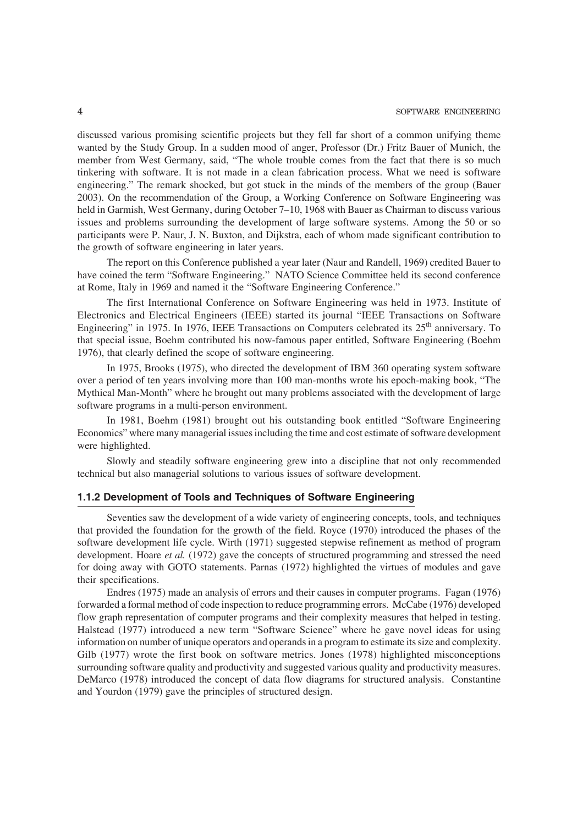discussed various promising scientific projects but they fell far short of a common unifying theme wanted by the Study Group. In a sudden mood of anger, Professor (Dr.) Fritz Bauer of Munich, the member from West Germany, said, "The whole trouble comes from the fact that there is so much tinkering with software. It is not made in a clean fabrication process. What we need is software engineering." The remark shocked, but got stuck in the minds of the members of the group (Bauer 2003). On the recommendation of the Group, a Working Conference on Software Engineering was held in Garmish, West Germany, during October 7–10, 1968 with Bauer as Chairman to discuss various issues and problems surrounding the development of large software systems. Among the 50 or so participants were P. Naur, J. N. Buxton, and Dijkstra, each of whom made significant contribution to the growth of software engineering in later years.

The report on this Conference published a year later (Naur and Randell, 1969) credited Bauer to have coined the term "Software Engineering." NATO Science Committee held its second conference at Rome, Italy in 1969 and named it the "Software Engineering Conference."

The first International Conference on Software Engineering was held in 1973. Institute of Electronics and Electrical Engineers (IEEE) started its journal "IEEE Transactions on Software Engineering" in 1975. In 1976, IEEE Transactions on Computers celebrated its 25<sup>th</sup> anniversary. To that special issue, Boehm contributed his now-famous paper entitled, Software Engineering (Boehm 1976), that clearly defined the scope of software engineering.

In 1975, Brooks (1975), who directed the development of IBM 360 operating system software over a period of ten years involving more than 100 man-months wrote his epoch-making book, "The Mythical Man-Month" where he brought out many problems associated with the development of large software programs in a multi-person environment.

In 1981, Boehm (1981) brought out his outstanding book entitled "Software Engineering Economics" where many managerial issues including the time and cost estimate of software development were highlighted.

Slowly and steadily software engineering grew into a discipline that not only recommended technical but also managerial solutions to various issues of software development.

## **1.1.2 Development of Tools and Techniques of Software Engineering**

Seventies saw the development of a wide variety of engineering concepts, tools, and techniques that provided the foundation for the growth of the field. Royce (1970) introduced the phases of the software development life cycle. Wirth (1971) suggested stepwise refinement as method of program development. Hoare *et al.* (1972) gave the concepts of structured programming and stressed the need for doing away with GOTO statements. Parnas (1972) highlighted the virtues of modules and gave their specifications.

Endres (1975) made an analysis of errors and their causes in computer programs. Fagan (1976) forwarded a formal method of code inspection to reduce programming errors. McCabe (1976) developed flow graph representation of computer programs and their complexity measures that helped in testing. Halstead (1977) introduced a new term "Software Science" where he gave novel ideas for using information on number of unique operators and operands in a program to estimate its size and complexity. Gilb (1977) wrote the first book on software metrics. Jones (1978) highlighted misconceptions surrounding software quality and productivity and suggested various quality and productivity measures. DeMarco (1978) introduced the concept of data flow diagrams for structured analysis. Constantine and Yourdon (1979) gave the principles of structured design.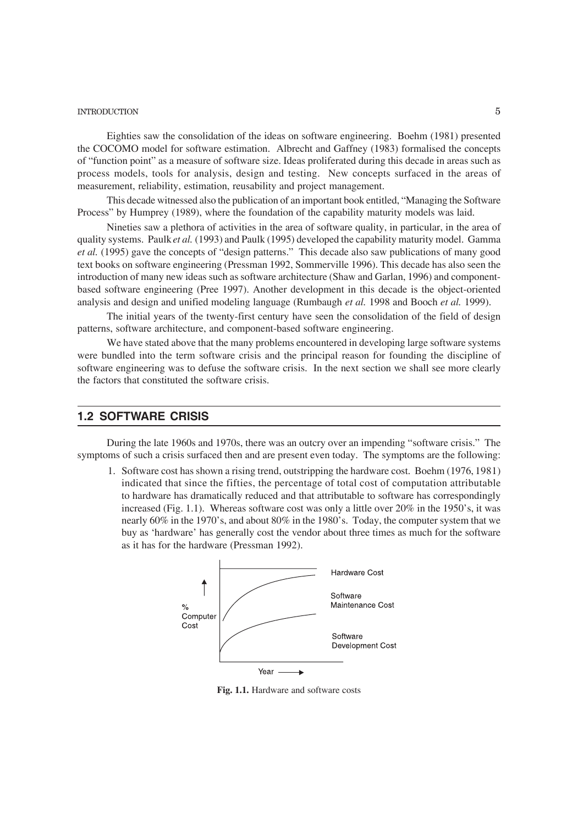Eighties saw the consolidation of the ideas on software engineering. Boehm (1981) presented the COCOMO model for software estimation. Albrecht and Gaffney (1983) formalised the concepts of "function point" as a measure of software size. Ideas proliferated during this decade in areas such as process models, tools for analysis, design and testing. New concepts surfaced in the areas of measurement, reliability, estimation, reusability and project management.

This decade witnessed also the publication of an important book entitled, "Managing the Software Process" by Humprey (1989), where the foundation of the capability maturity models was laid.

Nineties saw a plethora of activities in the area of software quality, in particular, in the area of quality systems. Paulk *et al.* (1993) and Paulk (1995) developed the capability maturity model. Gamma *et al.* (1995) gave the concepts of "design patterns." This decade also saw publications of many good text books on software engineering (Pressman 1992, Sommerville 1996). This decade has also seen the introduction of many new ideas such as software architecture (Shaw and Garlan, 1996) and componentbased software engineering (Pree 1997). Another development in this decade is the object-oriented analysis and design and unified modeling language (Rumbaugh *et al.* 1998 and Booch *et al.* 1999).

The initial years of the twenty-first century have seen the consolidation of the field of design patterns, software architecture, and component-based software engineering.

We have stated above that the many problems encountered in developing large software systems were bundled into the term software crisis and the principal reason for founding the discipline of software engineering was to defuse the software crisis. In the next section we shall see more clearly the factors that constituted the software crisis.

## **1.2 SOFTWARE CRISIS**

During the late 1960s and 1970s, there was an outcry over an impending "software crisis." The symptoms of such a crisis surfaced then and are present even today. The symptoms are the following:

1. Software cost has shown a rising trend, outstripping the hardware cost. Boehm (1976, 1981) indicated that since the fifties, the percentage of total cost of computation attributable to hardware has dramatically reduced and that attributable to software has correspondingly increased (Fig. 1.1). Whereas software cost was only a little over  $20\%$  in the 1950's, it was nearly 60% in the 1970's, and about 80% in the 1980's. Today, the computer system that we buy as 'hardware' has generally cost the vendor about three times as much for the software as it has for the hardware (Pressman 1992).



**Fig. 1.1.** Hardware and software costs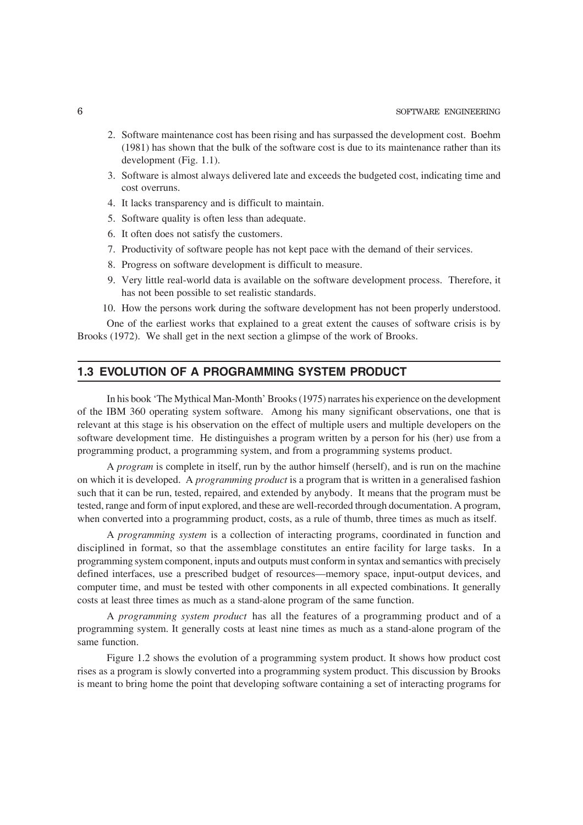#### 6 SOFTWARE ENGINEERING

- 2. Software maintenance cost has been rising and has surpassed the development cost. Boehm (1981) has shown that the bulk of the software cost is due to its maintenance rather than its development (Fig. 1.1).
- 3. Software is almost always delivered late and exceeds the budgeted cost, indicating time and cost overruns.
- 4. It lacks transparency and is difficult to maintain.
- 5. Software quality is often less than adequate.
- 6. It often does not satisfy the customers.
- 7. Productivity of software people has not kept pace with the demand of their services.
- 8. Progress on software development is difficult to measure.
- 9. Very little real-world data is available on the software development process. Therefore, it has not been possible to set realistic standards.

10. How the persons work during the software development has not been properly understood.

One of the earliest works that explained to a great extent the causes of software crisis is by Brooks (1972). We shall get in the next section a glimpse of the work of Brooks.

# **1.3 EVOLUTION OF A PROGRAMMING SYSTEM PRODUCT**

In his book 'The Mythical Man-Month' Brooks (1975) narrates his experience on the development of the IBM 360 operating system software. Among his many significant observations, one that is relevant at this stage is his observation on the effect of multiple users and multiple developers on the software development time. He distinguishes a program written by a person for his (her) use from a programming product, a programming system, and from a programming systems product.

A *program* is complete in itself, run by the author himself (herself), and is run on the machine on which it is developed. A *programming product* is a program that is written in a generalised fashion such that it can be run, tested, repaired, and extended by anybody. It means that the program must be tested, range and form of input explored, and these are well-recorded through documentation. A program, when converted into a programming product, costs, as a rule of thumb, three times as much as itself.

A *programming system* is a collection of interacting programs, coordinated in function and disciplined in format, so that the assemblage constitutes an entire facility for large tasks. In a programming system component, inputs and outputs must conform in syntax and semantics with precisely defined interfaces, use a prescribed budget of resources—memory space, input-output devices, and computer time, and must be tested with other components in all expected combinations. It generally costs at least three times as much as a stand-alone program of the same function.

A *programming system product* has all the features of a programming product and of a programming system. It generally costs at least nine times as much as a stand-alone program of the same function.

Figure 1.2 shows the evolution of a programming system product. It shows how product cost rises as a program is slowly converted into a programming system product. This discussion by Brooks is meant to bring home the point that developing software containing a set of interacting programs for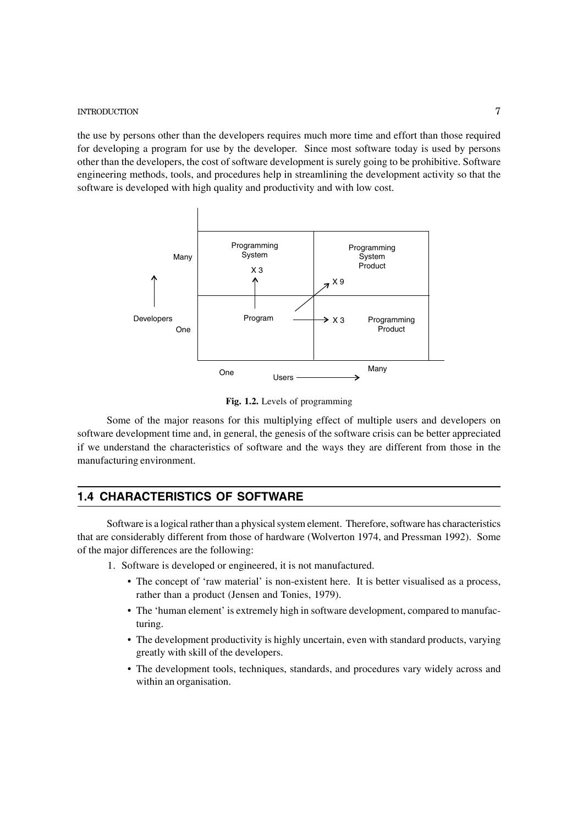the use by persons other than the developers requires much more time and effort than those required for developing a program for use by the developer. Since most software today is used by persons other than the developers, the cost of software development is surely going to be prohibitive. Software engineering methods, tools, and procedures help in streamlining the development activity so that the software is developed with high quality and productivity and with low cost.



**Fig. 1.2.** Levels of programming

Some of the major reasons for this multiplying effect of multiple users and developers on software development time and, in general, the genesis of the software crisis can be better appreciated if we understand the characteristics of software and the ways they are different from those in the manufacturing environment.

# **1.4 CHARACTERISTICS OF SOFTWARE**

Software is a logical rather than a physical system element. Therefore, software has characteristics that are considerably different from those of hardware (Wolverton 1974, and Pressman 1992). Some of the major differences are the following:

1. Software is developed or engineered, it is not manufactured.

- The concept of 'raw material' is non-existent here. It is better visualised as a process, rather than a product (Jensen and Tonies, 1979).
- The 'human element' is extremely high in software development, compared to manufacturing.
- The development productivity is highly uncertain, even with standard products, varying greatly with skill of the developers.
- The development tools, techniques, standards, and procedures vary widely across and within an organisation.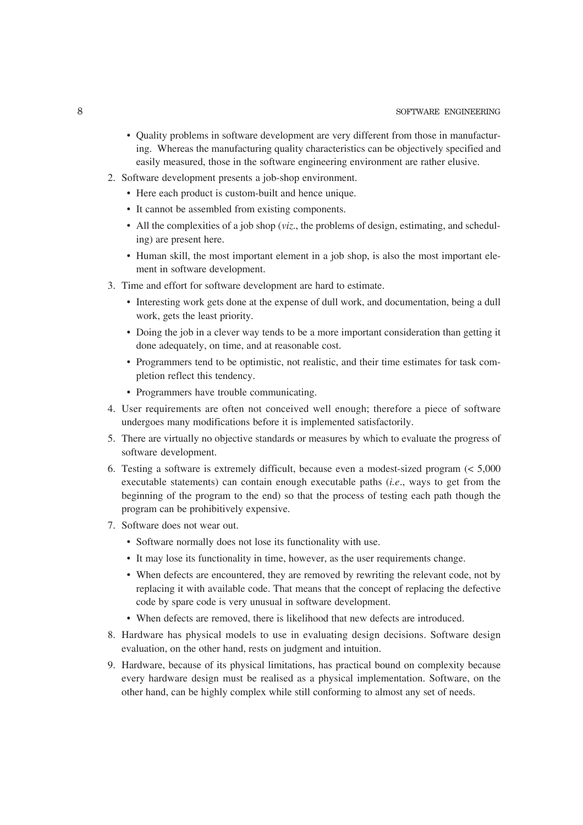- Quality problems in software development are very different from those in manufacturing. Whereas the manufacturing quality characteristics can be objectively specified and easily measured, those in the software engineering environment are rather elusive.
- 2. Software development presents a job-shop environment.
	- Here each product is custom-built and hence unique.
	- It cannot be assembled from existing components.
	- All the complexities of a job shop (*viz*., the problems of design, estimating, and scheduling) are present here.
	- Human skill, the most important element in a job shop, is also the most important element in software development.
- 3. Time and effort for software development are hard to estimate.
	- Interesting work gets done at the expense of dull work, and documentation, being a dull work, gets the least priority.
	- Doing the job in a clever way tends to be a more important consideration than getting it done adequately, on time, and at reasonable cost.
	- Programmers tend to be optimistic, not realistic, and their time estimates for task completion reflect this tendency.
	- Programmers have trouble communicating.
- 4. User requirements are often not conceived well enough; therefore a piece of software undergoes many modifications before it is implemented satisfactorily.
- 5. There are virtually no objective standards or measures by which to evaluate the progress of software development.
- 6. Testing a software is extremely difficult, because even a modest-sized program (< 5,000 executable statements) can contain enough executable paths (*i.e*., ways to get from the beginning of the program to the end) so that the process of testing each path though the program can be prohibitively expensive.
- 7. Software does not wear out.
	- Software normally does not lose its functionality with use.
	- It may lose its functionality in time, however, as the user requirements change.
	- When defects are encountered, they are removed by rewriting the relevant code, not by replacing it with available code. That means that the concept of replacing the defective code by spare code is very unusual in software development.
	- When defects are removed, there is likelihood that new defects are introduced.
- 8. Hardware has physical models to use in evaluating design decisions. Software design evaluation, on the other hand, rests on judgment and intuition.
- 9. Hardware, because of its physical limitations, has practical bound on complexity because every hardware design must be realised as a physical implementation. Software, on the other hand, can be highly complex while still conforming to almost any set of needs.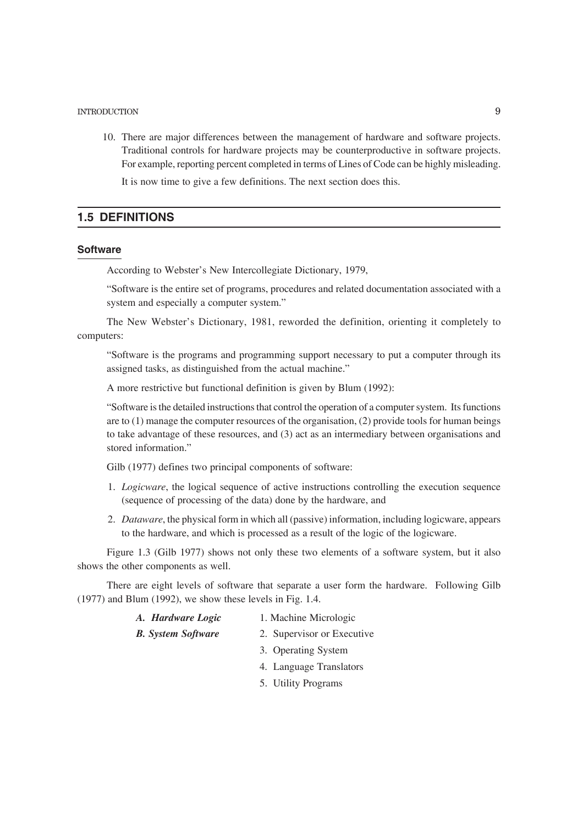10. There are major differences between the management of hardware and software projects. Traditional controls for hardware projects may be counterproductive in software projects. For example, reporting percent completed in terms of Lines of Code can be highly misleading.

It is now time to give a few definitions. The next section does this.

## **1.5 DEFINITIONS**

## **Software**

According to Webster's New Intercollegiate Dictionary, 1979,

"Software is the entire set of programs, procedures and related documentation associated with a system and especially a computer system."

The New Webster's Dictionary, 1981, reworded the definition, orienting it completely to computers:

"Software is the programs and programming support necessary to put a computer through its assigned tasks, as distinguished from the actual machine."

A more restrictive but functional definition is given by Blum (1992):

"Software is the detailed instructions that control the operation of a computer system. Its functions are to (1) manage the computer resources of the organisation, (2) provide tools for human beings to take advantage of these resources, and (3) act as an intermediary between organisations and stored information."

Gilb (1977) defines two principal components of software:

- 1. *Logicware*, the logical sequence of active instructions controlling the execution sequence (sequence of processing of the data) done by the hardware, and
- 2. *Dataware*, the physical form in which all (passive) information, including logicware, appears to the hardware, and which is processed as a result of the logic of the logicware.

Figure 1.3 (Gilb 1977) shows not only these two elements of a software system, but it also shows the other components as well.

There are eight levels of software that separate a user form the hardware. Following Gilb (1977) and Blum (1992), we show these levels in Fig. 1.4.

- **B. System Software** 2. Supervisor or Executive
	- 3. Operating System
	- 4. Language Translators
	- 5. Utility Programs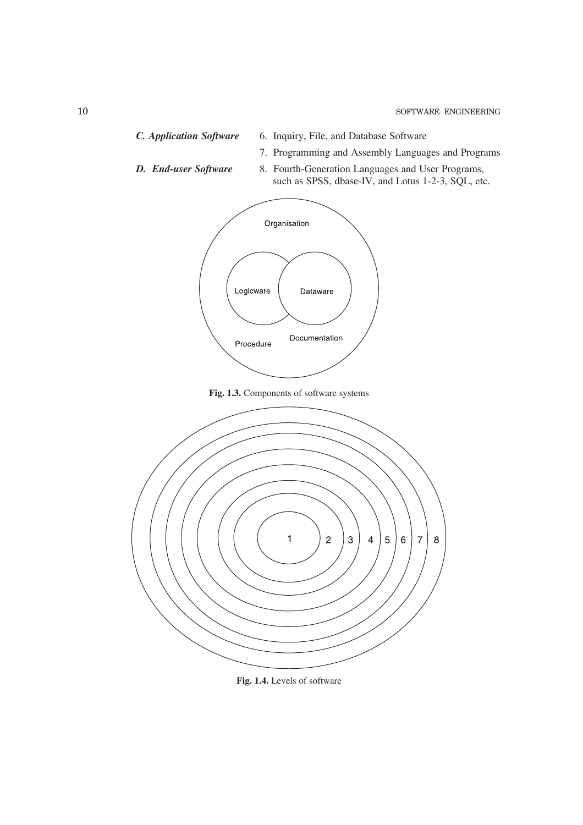- 
- *C. Application Software* 6. Inquiry, File, and Database Software
	- 7. Programming and Assembly Languages and Programs
- **D. End-user Software** 8. Fourth-Generation Languages and User Programs, such as SPSS, dbase-IV, and Lotus 1-2-3, SQL, etc.



**Fig. 1.3.** Components of software systems



**Fig. 1.4.** Levels of software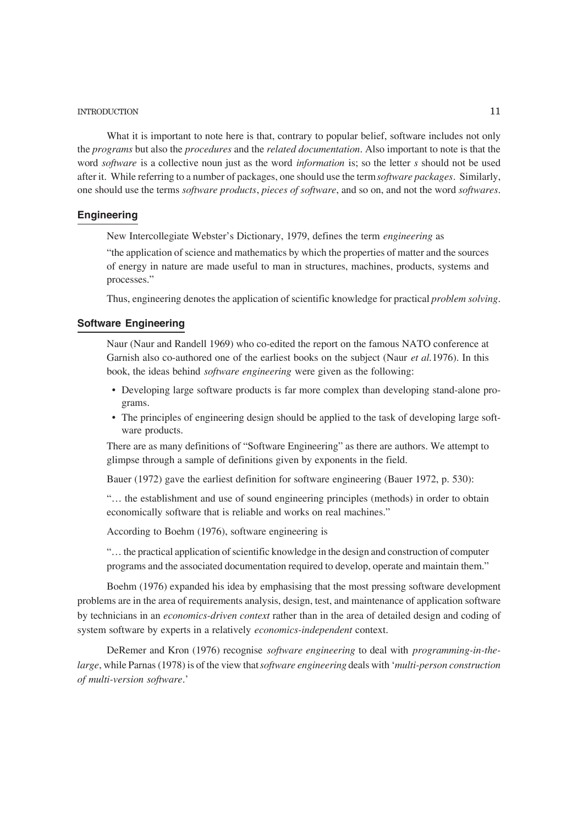What it is important to note here is that, contrary to popular belief, software includes not only the *programs* but also the *procedures* and the *related documentation*. Also important to note is that the word *software* is a collective noun just as the word *information* is; so the letter *s* should not be used after it. While referring to a number of packages, one should use the term *software packages*. Similarly, one should use the terms *software products*, *pieces of software*, and so on, and not the word *softwares*.

## **Engineering**

New Intercollegiate Webster's Dictionary, 1979, defines the term *engineering* as

"the application of science and mathematics by which the properties of matter and the sources of energy in nature are made useful to man in structures, machines, products, systems and processes."

Thus, engineering denotes the application of scientific knowledge for practical *problem solving*.

#### **Software Engineering**

Naur (Naur and Randell 1969) who co-edited the report on the famous NATO conference at Garnish also co-authored one of the earliest books on the subject (Naur *et al.*1976). In this book, the ideas behind *software engineering* were given as the following:

- Developing large software products is far more complex than developing stand-alone programs.
- The principles of engineering design should be applied to the task of developing large software products.

There are as many definitions of "Software Engineering" as there are authors. We attempt to glimpse through a sample of definitions given by exponents in the field.

Bauer (1972) gave the earliest definition for software engineering (Bauer 1972, p. 530):

"… the establishment and use of sound engineering principles (methods) in order to obtain economically software that is reliable and works on real machines."

According to Boehm (1976), software engineering is

"… the practical application of scientific knowledge in the design and construction of computer programs and the associated documentation required to develop, operate and maintain them."

Boehm (1976) expanded his idea by emphasising that the most pressing software development problems are in the area of requirements analysis, design, test, and maintenance of application software by technicians in an *economics-driven context* rather than in the area of detailed design and coding of system software by experts in a relatively *economics-independent* context.

DeRemer and Kron (1976) recognise *software engineering* to deal with *programming-in-thelarge*, while Parnas (1978) is of the view that *software engineering* deals with '*multi-person construction of multi-version software*.'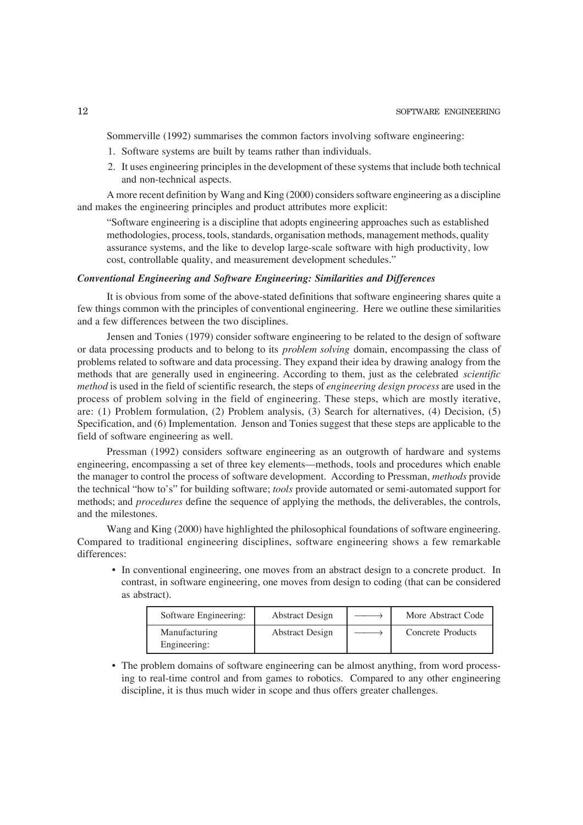Sommerville (1992) summarises the common factors involving software engineering:

- 1. Software systems are built by teams rather than individuals.
- 2. It uses engineering principles in the development of these systems that include both technical and non-technical aspects.

A more recent definition by Wang and King (2000) considers software engineering as a discipline and makes the engineering principles and product attributes more explicit:

"Software engineering is a discipline that adopts engineering approaches such as established methodologies, process, tools, standards, organisation methods, management methods, quality assurance systems, and the like to develop large-scale software with high productivity, low cost, controllable quality, and measurement development schedules."

## *Conventional Engineering and Software Engineering: Similarities and Differences*

It is obvious from some of the above-stated definitions that software engineering shares quite a few things common with the principles of conventional engineering. Here we outline these similarities and a few differences between the two disciplines.

Jensen and Tonies (1979) consider software engineering to be related to the design of software or data processing products and to belong to its *problem solving* domain, encompassing the class of problems related to software and data processing. They expand their idea by drawing analogy from the methods that are generally used in engineering. According to them, just as the celebrated *scientific method* is used in the field of scientific research, the steps of *engineering design process* are used in the process of problem solving in the field of engineering. These steps, which are mostly iterative, are: (1) Problem formulation, (2) Problem analysis, (3) Search for alternatives, (4) Decision, (5) Specification, and (6) Implementation. Jenson and Tonies suggest that these steps are applicable to the field of software engineering as well.

Pressman (1992) considers software engineering as an outgrowth of hardware and systems engineering, encompassing a set of three key elements—methods, tools and procedures which enable the manager to control the process of software development. According to Pressman, *methods* provide the technical "how to's" for building software; *tools* provide automated or semi-automated support for methods; and *procedures* define the sequence of applying the methods, the deliverables, the controls, and the milestones.

Wang and King (2000) have highlighted the philosophical foundations of software engineering. Compared to traditional engineering disciplines, software engineering shows a few remarkable differences:

• In conventional engineering, one moves from an abstract design to a concrete product. In contrast, in software engineering, one moves from design to coding (that can be considered as abstract).

| Software Engineering:         | <b>Abstract Design</b> | More Abstract Code |
|-------------------------------|------------------------|--------------------|
| Manufacturing<br>Engineering: | <b>Abstract Design</b> | Concrete Products  |

• The problem domains of software engineering can be almost anything, from word processing to real-time control and from games to robotics. Compared to any other engineering discipline, it is thus much wider in scope and thus offers greater challenges.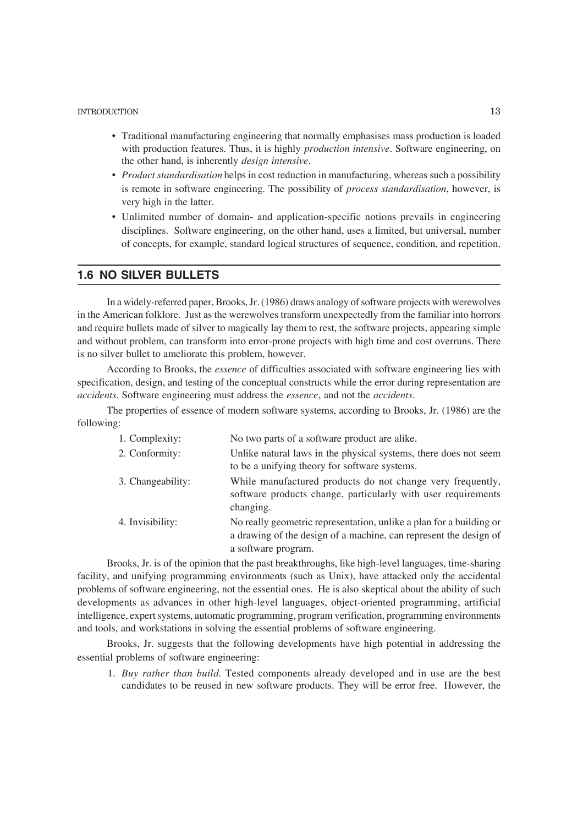- Traditional manufacturing engineering that normally emphasises mass production is loaded with production features. Thus, it is highly *production intensive*. Software engineering, on the other hand, is inherently *design intensive*.
- *Product standardisation* helps in cost reduction in manufacturing, whereas such a possibility is remote in software engineering. The possibility of *process standardisation*, however, is very high in the latter.
- Unlimited number of domain- and application-specific notions prevails in engineering disciplines. Software engineering, on the other hand, uses a limited, but universal, number of concepts, for example, standard logical structures of sequence, condition, and repetition.

## **1.6 NO SILVER BULLETS**

In a widely-referred paper, Brooks, Jr. (1986) draws analogy of software projects with werewolves in the American folklore. Just as the werewolves transform unexpectedly from the familiar into horrors and require bullets made of silver to magically lay them to rest, the software projects, appearing simple and without problem, can transform into error-prone projects with high time and cost overruns. There is no silver bullet to ameliorate this problem, however.

According to Brooks, the *essence* of difficulties associated with software engineering lies with specification, design, and testing of the conceptual constructs while the error during representation are *accidents*. Software engineering must address the *essence*, and not the *accidents*.

The properties of essence of modern software systems, according to Brooks, Jr. (1986) are the following:

| 1. Complexity:    | No two parts of a software product are alike.                                                                                                                   |
|-------------------|-----------------------------------------------------------------------------------------------------------------------------------------------------------------|
| 2. Conformity:    | Unlike natural laws in the physical systems, there does not seem<br>to be a unifying theory for software systems.                                               |
| 3. Changeability: | While manufactured products do not change very frequently,<br>software products change, particularly with user requirements<br>changing.                        |
| 4. Invisibility:  | No really geometric representation, unlike a plan for a building or<br>a drawing of the design of a machine, can represent the design of<br>a software program. |

Brooks, Jr. is of the opinion that the past breakthroughs, like high-level languages, time-sharing facility, and unifying programming environments (such as Unix), have attacked only the accidental problems of software engineering, not the essential ones. He is also skeptical about the ability of such developments as advances in other high-level languages, object-oriented programming, artificial intelligence, expert systems, automatic programming, program verification, programming environments and tools, and workstations in solving the essential problems of software engineering.

Brooks, Jr. suggests that the following developments have high potential in addressing the essential problems of software engineering:

1. *Buy rather than build.* Tested components already developed and in use are the best candidates to be reused in new software products. They will be error free. However, the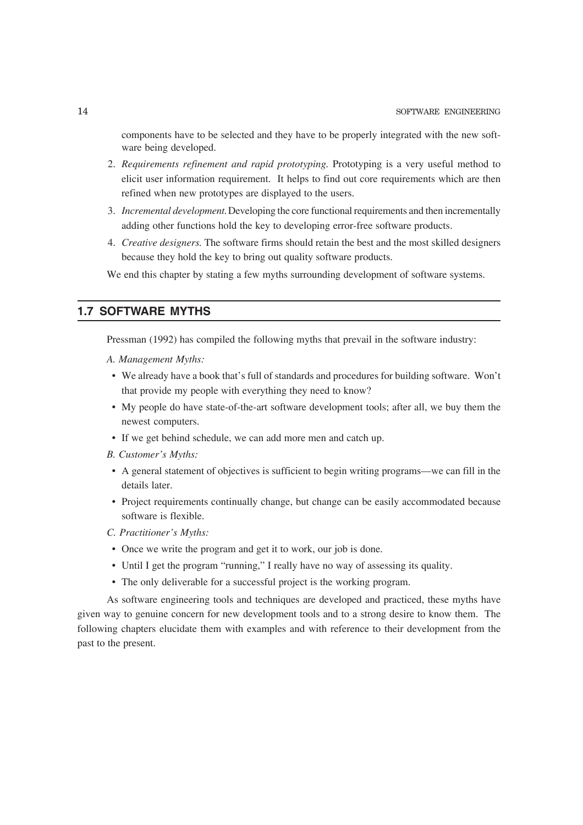components have to be selected and they have to be properly integrated with the new software being developed.

- 2. *Requirements refinement and rapid prototyping.* Prototyping is a very useful method to elicit user information requirement. It helps to find out core requirements which are then refined when new prototypes are displayed to the users.
- 3. *Incremental development.* Developing the core functional requirements and then incrementally adding other functions hold the key to developing error-free software products.
- 4. *Creative designers.* The software firms should retain the best and the most skilled designers because they hold the key to bring out quality software products.

We end this chapter by stating a few myths surrounding development of software systems.

# **1.7 SOFTWARE MYTHS**

Pressman (1992) has compiled the following myths that prevail in the software industry:

- *A. Management Myths:*
- We already have a book that's full of standards and procedures for building software. Won't that provide my people with everything they need to know?
- My people do have state-of-the-art software development tools; after all, we buy them the newest computers.
- If we get behind schedule, we can add more men and catch up.
- *B. Customer's Myths:*
- A general statement of objectives is sufficient to begin writing programs—we can fill in the details later.
- Project requirements continually change, but change can be easily accommodated because software is flexible.
- *C. Practitioner's Myths:*
- Once we write the program and get it to work, our job is done.
- Until I get the program "running," I really have no way of assessing its quality.
- The only deliverable for a successful project is the working program.

As software engineering tools and techniques are developed and practiced, these myths have given way to genuine concern for new development tools and to a strong desire to know them. The following chapters elucidate them with examples and with reference to their development from the past to the present.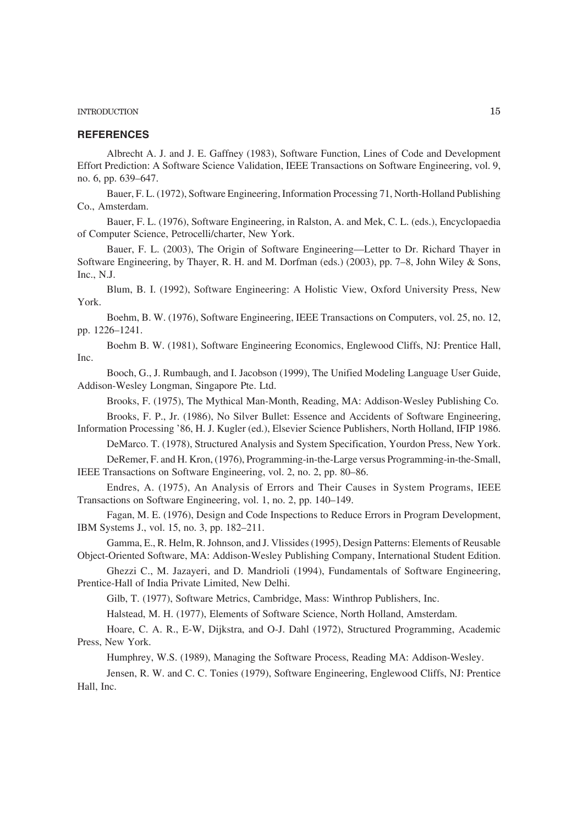## **REFERENCES**

Albrecht A. J. and J. E. Gaffney (1983), Software Function, Lines of Code and Development Effort Prediction: A Software Science Validation, IEEE Transactions on Software Engineering, vol. 9, no. 6, pp. 639–647.

Bauer, F. L. (1972), Software Engineering, Information Processing 71, North-Holland Publishing Co., Amsterdam.

Bauer, F. L. (1976), Software Engineering, in Ralston, A. and Mek, C. L. (eds.), Encyclopaedia of Computer Science, Petrocelli/charter, New York.

Bauer, F. L. (2003), The Origin of Software Engineering—Letter to Dr. Richard Thayer in Software Engineering, by Thayer, R. H. and M. Dorfman (eds.) (2003), pp. 7–8, John Wiley & Sons, Inc., N.J.

Blum, B. I. (1992), Software Engineering: A Holistic View, Oxford University Press, New York.

Boehm, B. W. (1976), Software Engineering, IEEE Transactions on Computers, vol. 25, no. 12, pp. 1226–1241.

Boehm B. W. (1981), Software Engineering Economics, Englewood Cliffs, NJ: Prentice Hall, Inc.

Booch, G., J. Rumbaugh, and I. Jacobson (1999), The Unified Modeling Language User Guide, Addison-Wesley Longman, Singapore Pte. Ltd.

Brooks, F. (1975), The Mythical Man-Month, Reading, MA: Addison-Wesley Publishing Co. Brooks, F. P., Jr. (1986), No Silver Bullet: Essence and Accidents of Software Engineering,

Information Processing '86, H. J. Kugler (ed.), Elsevier Science Publishers, North Holland, IFIP 1986. DeMarco. T. (1978), Structured Analysis and System Specification, Yourdon Press, New York. DeRemer, F. and H. Kron, (1976), Programming-in-the-Large versus Programming-in-the-Small,

IEEE Transactions on Software Engineering, vol. 2, no. 2, pp. 80–86.

Endres, A. (1975), An Analysis of Errors and Their Causes in System Programs, IEEE Transactions on Software Engineering, vol. 1, no. 2, pp. 140–149.

Fagan, M. E. (1976), Design and Code Inspections to Reduce Errors in Program Development, IBM Systems J., vol. 15, no. 3, pp. 182–211.

Gamma, E., R. Helm, R. Johnson, and J. Vlissides (1995), Design Patterns: Elements of Reusable Object-Oriented Software, MA: Addison-Wesley Publishing Company, International Student Edition.

Ghezzi C., M. Jazayeri, and D. Mandrioli (1994), Fundamentals of Software Engineering, Prentice-Hall of India Private Limited, New Delhi.

Gilb, T. (1977), Software Metrics, Cambridge, Mass: Winthrop Publishers, Inc.

Halstead, M. H. (1977), Elements of Software Science, North Holland, Amsterdam.

Hoare, C. A. R., E-W, Dijkstra, and O-J. Dahl (1972), Structured Programming, Academic Press, New York.

Humphrey, W.S. (1989), Managing the Software Process, Reading MA: Addison-Wesley.

Jensen, R. W. and C. C. Tonies (1979), Software Engineering, Englewood Cliffs, NJ: Prentice Hall, Inc.